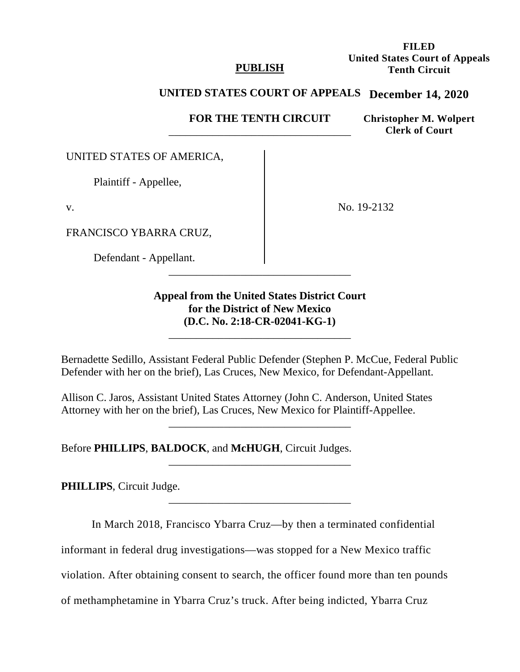### **PUBLISH**

**FILED United States Court of Appeals Tenth Circuit**

# **UNITED STATES COURT OF APPEALS December 14, 2020**

**FOR THE TENTH CIRCUIT** \_\_\_\_\_\_\_\_\_\_\_\_\_\_\_\_\_\_\_\_\_\_\_\_\_\_\_\_\_\_\_\_\_

**Christopher M. Wolpert Clerk of Court**

UNITED STATES OF AMERICA,

Plaintiff - Appellee,

v.

FRANCISCO YBARRA CRUZ,

Defendant - Appellant.

No. 19-2132

# **Appeal from the United States District Court for the District of New Mexico (D.C. No. 2:18-CR-02041-KG-1)**

\_\_\_\_\_\_\_\_\_\_\_\_\_\_\_\_\_\_\_\_\_\_\_\_\_\_\_\_\_\_\_\_\_

\_\_\_\_\_\_\_\_\_\_\_\_\_\_\_\_\_\_\_\_\_\_\_\_\_\_\_\_\_\_\_\_\_

Bernadette Sedillo, Assistant Federal Public Defender (Stephen P. McCue, Federal Public Defender with her on the brief), Las Cruces, New Mexico, for Defendant-Appellant.

\_\_\_\_\_\_\_\_\_\_\_\_\_\_\_\_\_\_\_\_\_\_\_\_\_\_\_\_\_\_\_\_\_

\_\_\_\_\_\_\_\_\_\_\_\_\_\_\_\_\_\_\_\_\_\_\_\_\_\_\_\_\_\_\_\_\_

\_\_\_\_\_\_\_\_\_\_\_\_\_\_\_\_\_\_\_\_\_\_\_\_\_\_\_\_\_\_\_\_\_

Allison C. Jaros, Assistant United States Attorney (John C. Anderson, United States Attorney with her on the brief), Las Cruces, New Mexico for Plaintiff-Appellee.

Before **PHILLIPS**, **BALDOCK**, and **McHUGH**, Circuit Judges.

**PHILLIPS**, Circuit Judge.

In March 2018, Francisco Ybarra Cruz—by then a terminated confidential

informant in federal drug investigations—was stopped for a New Mexico traffic

violation. After obtaining consent to search, the officer found more than ten pounds

of methamphetamine in Ybarra Cruz's truck. After being indicted, Ybarra Cruz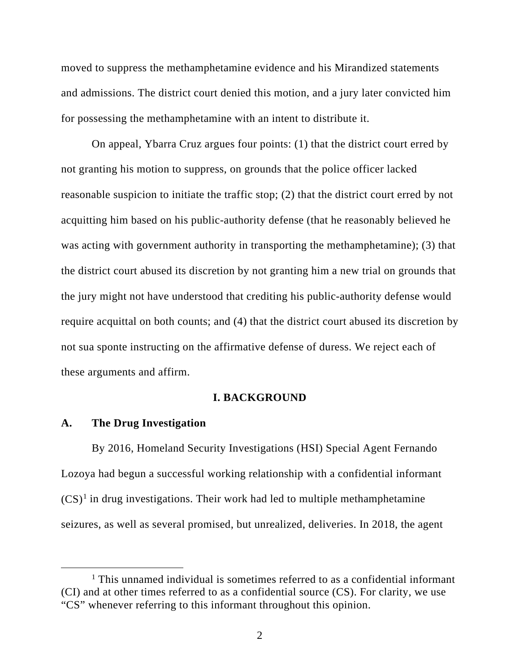moved to suppress the methamphetamine evidence and his Mirandized statements and admissions. The district court denied this motion, and a jury later convicted him for possessing the methamphetamine with an intent to distribute it.

On appeal, Ybarra Cruz argues four points: (1) that the district court erred by not granting his motion to suppress, on grounds that the police officer lacked reasonable suspicion to initiate the traffic stop; (2) that the district court erred by not acquitting him based on his public-authority defense (that he reasonably believed he was acting with government authority in transporting the methamphetamine); (3) that the district court abused its discretion by not granting him a new trial on grounds that the jury might not have understood that crediting his public-authority defense would require acquittal on both counts; and (4) that the district court abused its discretion by not sua sponte instructing on the affirmative defense of duress. We reject each of these arguments and affirm.

#### **I. BACKGROUND**

### **A. The Drug Investigation**

By 2016, Homeland Security Investigations (HSI) Special Agent Fernando Lozoya had begun a successful working relationship with a confidential informant  $(CS)^1$  $(CS)^1$  in drug investigations. Their work had led to multiple methamphetamine seizures, as well as several promised, but unrealized, deliveries. In 2018, the agent

<span id="page-1-0"></span><sup>&</sup>lt;sup>1</sup> This unnamed individual is sometimes referred to as a confidential informant (CI) and at other times referred to as a confidential source (CS). For clarity, we use "CS" whenever referring to this informant throughout this opinion.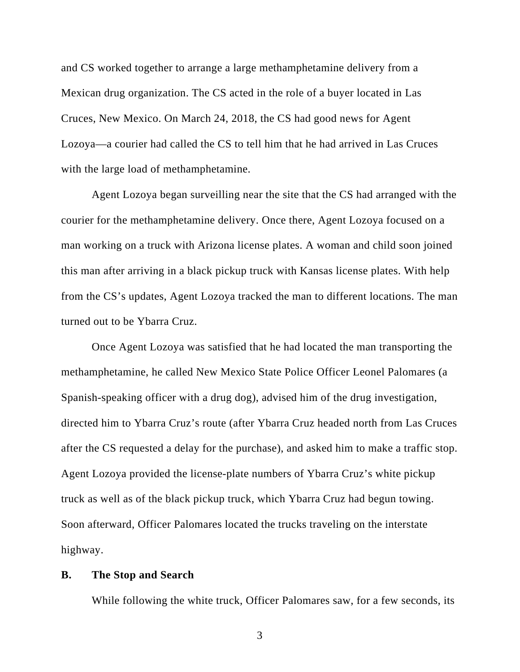and CS worked together to arrange a large methamphetamine delivery from a Mexican drug organization. The CS acted in the role of a buyer located in Las Cruces, New Mexico. On March 24, 2018, the CS had good news for Agent Lozoya—a courier had called the CS to tell him that he had arrived in Las Cruces with the large load of methamphetamine.

Agent Lozoya began surveilling near the site that the CS had arranged with the courier for the methamphetamine delivery. Once there, Agent Lozoya focused on a man working on a truck with Arizona license plates. A woman and child soon joined this man after arriving in a black pickup truck with Kansas license plates. With help from the CS's updates, Agent Lozoya tracked the man to different locations. The man turned out to be Ybarra Cruz.

Once Agent Lozoya was satisfied that he had located the man transporting the methamphetamine, he called New Mexico State Police Officer Leonel Palomares (a Spanish-speaking officer with a drug dog), advised him of the drug investigation, directed him to Ybarra Cruz's route (after Ybarra Cruz headed north from Las Cruces after the CS requested a delay for the purchase), and asked him to make a traffic stop. Agent Lozoya provided the license-plate numbers of Ybarra Cruz's white pickup truck as well as of the black pickup truck, which Ybarra Cruz had begun towing. Soon afterward, Officer Palomares located the trucks traveling on the interstate highway.

### **B. The Stop and Search**

While following the white truck, Officer Palomares saw, for a few seconds, its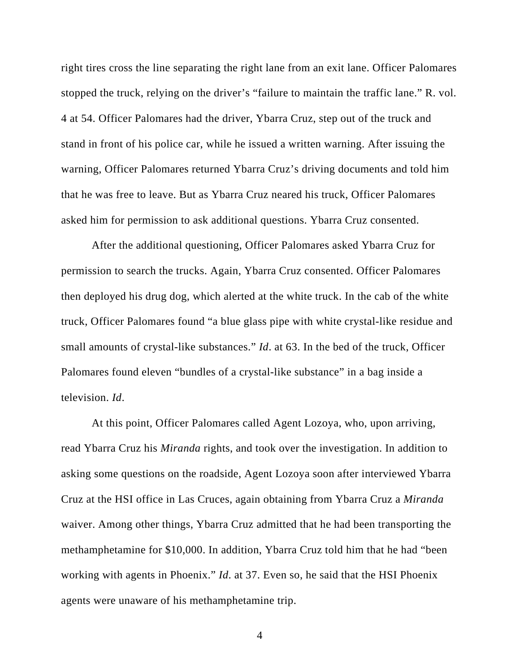right tires cross the line separating the right lane from an exit lane. Officer Palomares stopped the truck, relying on the driver's "failure to maintain the traffic lane." R. vol. 4 at 54. Officer Palomares had the driver, Ybarra Cruz, step out of the truck and stand in front of his police car, while he issued a written warning. After issuing the warning, Officer Palomares returned Ybarra Cruz's driving documents and told him that he was free to leave. But as Ybarra Cruz neared his truck, Officer Palomares asked him for permission to ask additional questions. Ybarra Cruz consented.

After the additional questioning, Officer Palomares asked Ybarra Cruz for permission to search the trucks. Again, Ybarra Cruz consented. Officer Palomares then deployed his drug dog, which alerted at the white truck. In the cab of the white truck, Officer Palomares found "a blue glass pipe with white crystal-like residue and small amounts of crystal-like substances." *Id*. at 63. In the bed of the truck, Officer Palomares found eleven "bundles of a crystal-like substance" in a bag inside a television. *Id*.

At this point, Officer Palomares called Agent Lozoya, who, upon arriving, read Ybarra Cruz his *Miranda* rights, and took over the investigation. In addition to asking some questions on the roadside, Agent Lozoya soon after interviewed Ybarra Cruz at the HSI office in Las Cruces, again obtaining from Ybarra Cruz a *Miranda* waiver. Among other things, Ybarra Cruz admitted that he had been transporting the methamphetamine for \$10,000. In addition, Ybarra Cruz told him that he had "been working with agents in Phoenix." *Id*. at 37. Even so, he said that the HSI Phoenix agents were unaware of his methamphetamine trip.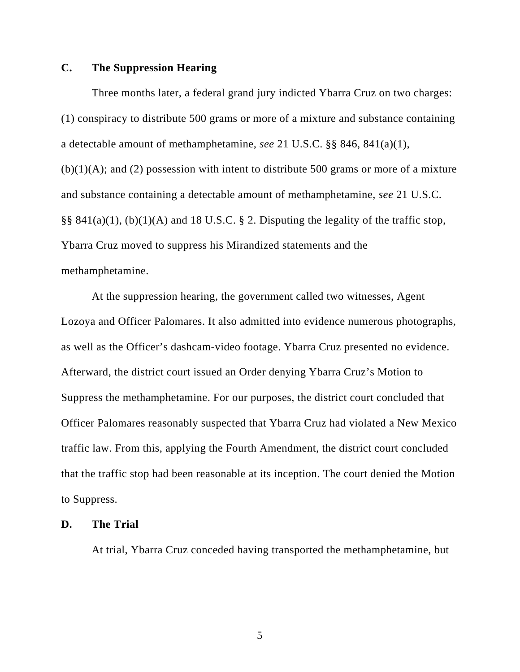## **C. The Suppression Hearing**

Three months later, a federal grand jury indicted Ybarra Cruz on two charges: (1) conspiracy to distribute 500 grams or more of a mixture and substance containing a detectable amount of methamphetamine, *see* 21 U.S.C. §§ 846, 841(a)(1),  $(b)(1)(A)$ ; and (2) possession with intent to distribute 500 grams or more of a mixture and substance containing a detectable amount of methamphetamine, *see* 21 U.S.C. §§  $841(a)(1)$ , (b)(1)(A) and 18 U.S.C. § 2. Disputing the legality of the traffic stop, Ybarra Cruz moved to suppress his Mirandized statements and the methamphetamine.

At the suppression hearing, the government called two witnesses, Agent Lozoya and Officer Palomares. It also admitted into evidence numerous photographs, as well as the Officer's dashcam-video footage. Ybarra Cruz presented no evidence. Afterward, the district court issued an Order denying Ybarra Cruz's Motion to Suppress the methamphetamine. For our purposes, the district court concluded that Officer Palomares reasonably suspected that Ybarra Cruz had violated a New Mexico traffic law. From this, applying the Fourth Amendment, the district court concluded that the traffic stop had been reasonable at its inception. The court denied the Motion to Suppress.

#### **D. The Trial**

At trial, Ybarra Cruz conceded having transported the methamphetamine, but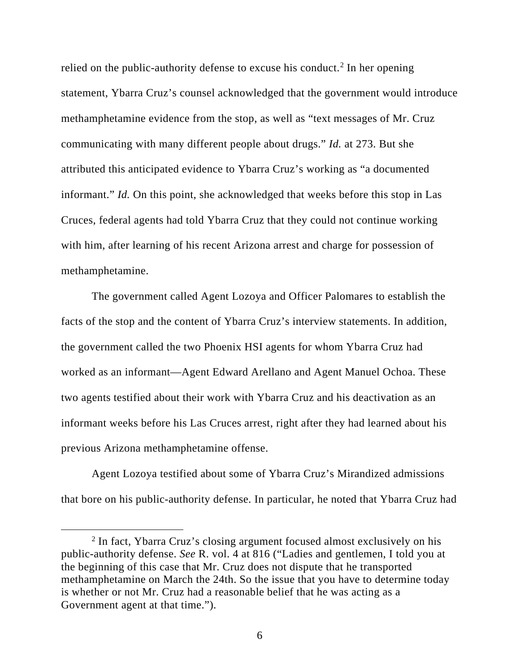relied on the public-authority defense to excuse his conduct.<sup>[2](#page-5-0)</sup> In her opening statement, Ybarra Cruz's counsel acknowledged that the government would introduce methamphetamine evidence from the stop, as well as "text messages of Mr. Cruz communicating with many different people about drugs." *Id.* at 273. But she attributed this anticipated evidence to Ybarra Cruz's working as "a documented informant." *Id.* On this point, she acknowledged that weeks before this stop in Las Cruces, federal agents had told Ybarra Cruz that they could not continue working with him, after learning of his recent Arizona arrest and charge for possession of methamphetamine.

The government called Agent Lozoya and Officer Palomares to establish the facts of the stop and the content of Ybarra Cruz's interview statements. In addition, the government called the two Phoenix HSI agents for whom Ybarra Cruz had worked as an informant—Agent Edward Arellano and Agent Manuel Ochoa. These two agents testified about their work with Ybarra Cruz and his deactivation as an informant weeks before his Las Cruces arrest, right after they had learned about his previous Arizona methamphetamine offense.

Agent Lozoya testified about some of Ybarra Cruz's Mirandized admissions that bore on his public-authority defense. In particular, he noted that Ybarra Cruz had

<span id="page-5-0"></span><sup>2</sup> In fact, Ybarra Cruz's closing argument focused almost exclusively on his public-authority defense. *See* R. vol. 4 at 816 ("Ladies and gentlemen, I told you at the beginning of this case that Mr. Cruz does not dispute that he transported methamphetamine on March the 24th. So the issue that you have to determine today is whether or not Mr. Cruz had a reasonable belief that he was acting as a Government agent at that time.").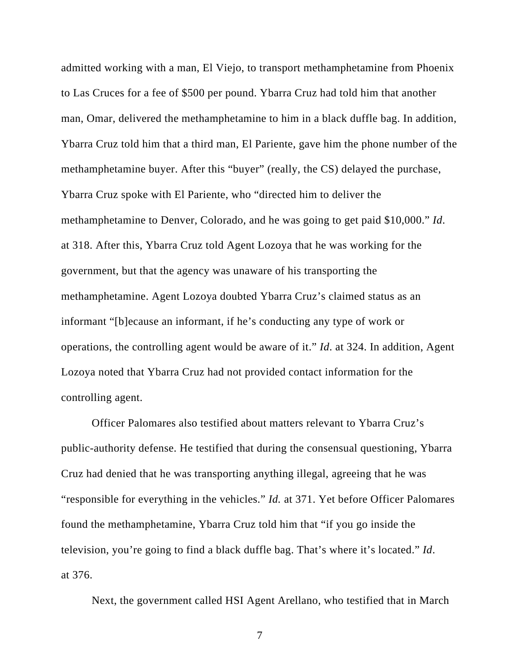admitted working with a man, El Viejo, to transport methamphetamine from Phoenix to Las Cruces for a fee of \$500 per pound. Ybarra Cruz had told him that another man, Omar, delivered the methamphetamine to him in a black duffle bag. In addition, Ybarra Cruz told him that a third man, El Pariente, gave him the phone number of the methamphetamine buyer. After this "buyer" (really, the CS) delayed the purchase, Ybarra Cruz spoke with El Pariente, who "directed him to deliver the methamphetamine to Denver, Colorado, and he was going to get paid \$10,000." *Id*. at 318. After this, Ybarra Cruz told Agent Lozoya that he was working for the government, but that the agency was unaware of his transporting the methamphetamine. Agent Lozoya doubted Ybarra Cruz's claimed status as an informant "[b]ecause an informant, if he's conducting any type of work or operations, the controlling agent would be aware of it." *Id*. at 324. In addition, Agent Lozoya noted that Ybarra Cruz had not provided contact information for the controlling agent.

Officer Palomares also testified about matters relevant to Ybarra Cruz's public-authority defense. He testified that during the consensual questioning, Ybarra Cruz had denied that he was transporting anything illegal, agreeing that he was "responsible for everything in the vehicles." *Id.* at 371. Yet before Officer Palomares found the methamphetamine, Ybarra Cruz told him that "if you go inside the television, you're going to find a black duffle bag. That's where it's located." *Id*. at 376.

Next, the government called HSI Agent Arellano, who testified that in March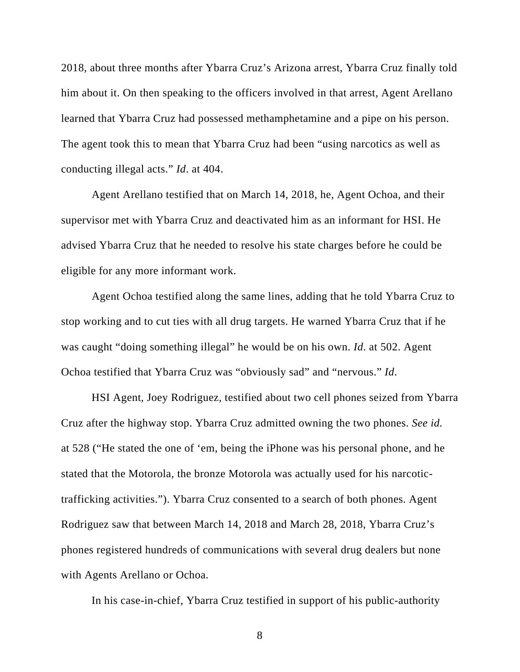2018, about three months after Ybarra Cruz's Arizona arrest, Ybarra Cruz finally told him about it. On then speaking to the officers involved in that arrest, Agent Arellano learned that Ybarra Cruz had possessed methamphetamine and a pipe on his person. The agent took this to mean that Ybarra Cruz had been "using narcotics as well as conducting illegal acts." *Id*. at 404.

Agent Arellano testified that on March 14, 2018, he, Agent Ochoa, and their supervisor met with Ybarra Cruz and deactivated him as an informant for HSI. He advised Ybarra Cruz that he needed to resolve his state charges before he could be eligible for any more informant work.

Agent Ochoa testified along the same lines, adding that he told Ybarra Cruz to stop working and to cut ties with all drug targets. He warned Ybarra Cruz that if he was caught "doing something illegal" he would be on his own. *Id*. at 502. Agent Ochoa testified that Ybarra Cruz was "obviously sad" and "nervous." *Id*.

HSI Agent, Joey Rodriguez, testified about two cell phones seized from Ybarra Cruz after the highway stop. Ybarra Cruz admitted owning the two phones. *See id.* at 528 ("He stated the one of 'em, being the iPhone was his personal phone, and he stated that the Motorola, the bronze Motorola was actually used for his narcotictrafficking activities."). Ybarra Cruz consented to a search of both phones. Agent Rodriguez saw that between March 14, 2018 and March 28, 2018, Ybarra Cruz's phones registered hundreds of communications with several drug dealers but none with Agents Arellano or Ochoa.

In his case-in-chief, Ybarra Cruz testified in support of his public-authority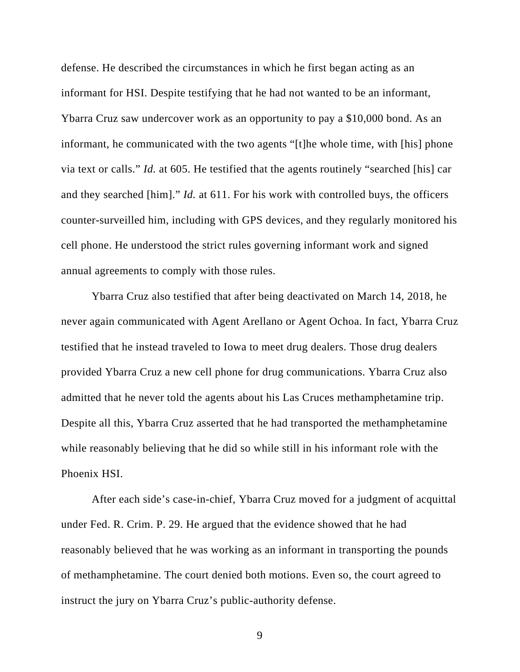defense. He described the circumstances in which he first began acting as an informant for HSI. Despite testifying that he had not wanted to be an informant, Ybarra Cruz saw undercover work as an opportunity to pay a \$10,000 bond. As an informant, he communicated with the two agents "[t]he whole time, with [his] phone via text or calls." *Id.* at 605. He testified that the agents routinely "searched [his] car and they searched [him]." *Id.* at 611. For his work with controlled buys, the officers counter-surveilled him, including with GPS devices, and they regularly monitored his cell phone. He understood the strict rules governing informant work and signed annual agreements to comply with those rules.

Ybarra Cruz also testified that after being deactivated on March 14, 2018, he never again communicated with Agent Arellano or Agent Ochoa. In fact, Ybarra Cruz testified that he instead traveled to Iowa to meet drug dealers. Those drug dealers provided Ybarra Cruz a new cell phone for drug communications. Ybarra Cruz also admitted that he never told the agents about his Las Cruces methamphetamine trip. Despite all this, Ybarra Cruz asserted that he had transported the methamphetamine while reasonably believing that he did so while still in his informant role with the Phoenix HSI.

After each side's case-in-chief, Ybarra Cruz moved for a judgment of acquittal under Fed. R. Crim. P. 29. He argued that the evidence showed that he had reasonably believed that he was working as an informant in transporting the pounds of methamphetamine. The court denied both motions. Even so, the court agreed to instruct the jury on Ybarra Cruz's public-authority defense.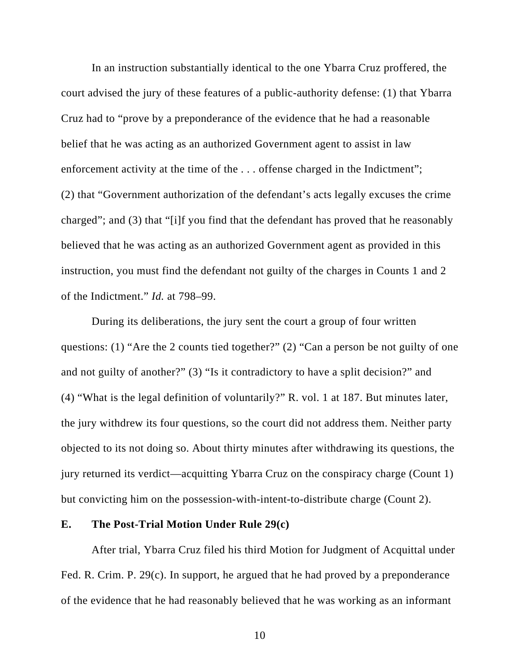In an instruction substantially identical to the one Ybarra Cruz proffered, the court advised the jury of these features of a public-authority defense: (1) that Ybarra Cruz had to "prove by a preponderance of the evidence that he had a reasonable belief that he was acting as an authorized Government agent to assist in law enforcement activity at the time of the ... offense charged in the Indictment"; (2) that "Government authorization of the defendant's acts legally excuses the crime charged"; and (3) that "[i]f you find that the defendant has proved that he reasonably believed that he was acting as an authorized Government agent as provided in this instruction, you must find the defendant not guilty of the charges in Counts 1 and 2 of the Indictment." *Id.* at 798–99.

During its deliberations, the jury sent the court a group of four written questions: (1) "Are the 2 counts tied together?" (2) "Can a person be not guilty of one and not guilty of another?" (3) "Is it contradictory to have a split decision?" and (4) "What is the legal definition of voluntarily?" R. vol. 1 at 187. But minutes later, the jury withdrew its four questions, so the court did not address them. Neither party objected to its not doing so. About thirty minutes after withdrawing its questions, the jury returned its verdict—acquitting Ybarra Cruz on the conspiracy charge (Count 1) but convicting him on the possession-with-intent-to-distribute charge (Count 2).

### **E. The Post-Trial Motion Under Rule 29(c)**

After trial, Ybarra Cruz filed his third Motion for Judgment of Acquittal under Fed. R. Crim. P. 29(c). In support, he argued that he had proved by a preponderance of the evidence that he had reasonably believed that he was working as an informant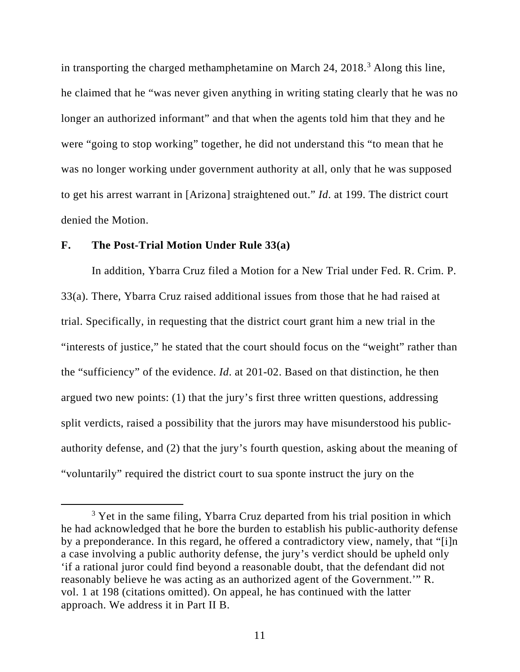in transporting the charged methamphetamine on March 24, 2018. [3](#page-10-0) Along this line, he claimed that he "was never given anything in writing stating clearly that he was no longer an authorized informant" and that when the agents told him that they and he were "going to stop working" together, he did not understand this "to mean that he was no longer working under government authority at all, only that he was supposed to get his arrest warrant in [Arizona] straightened out." *Id*. at 199. The district court denied the Motion.

### **F. The Post-Trial Motion Under Rule 33(a)**

In addition, Ybarra Cruz filed a Motion for a New Trial under Fed. R. Crim. P. 33(a). There, Ybarra Cruz raised additional issues from those that he had raised at trial. Specifically, in requesting that the district court grant him a new trial in the "interests of justice," he stated that the court should focus on the "weight" rather than the "sufficiency" of the evidence. *Id*. at 201-02. Based on that distinction, he then argued two new points: (1) that the jury's first three written questions, addressing split verdicts, raised a possibility that the jurors may have misunderstood his publicauthority defense, and (2) that the jury's fourth question, asking about the meaning of "voluntarily" required the district court to sua sponte instruct the jury on the

<span id="page-10-0"></span><sup>&</sup>lt;sup>3</sup> Yet in the same filing, Ybarra Cruz departed from his trial position in which he had acknowledged that he bore the burden to establish his public-authority defense by a preponderance. In this regard, he offered a contradictory view, namely, that "[i]n a case involving a public authority defense, the jury's verdict should be upheld only 'if a rational juror could find beyond a reasonable doubt, that the defendant did not reasonably believe he was acting as an authorized agent of the Government.'" R. vol. 1 at 198 (citations omitted). On appeal, he has continued with the latter approach. We address it in Part II B.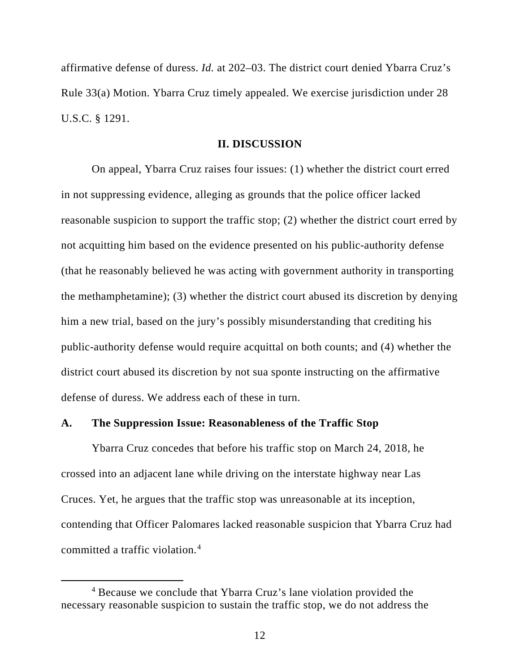affirmative defense of duress. *Id.* at 202–03. The district court denied Ybarra Cruz's Rule 33(a) Motion. Ybarra Cruz timely appealed. We exercise jurisdiction under 28 U.S.C. § 1291.

#### **II. DISCUSSION**

On appeal, Ybarra Cruz raises four issues: (1) whether the district court erred in not suppressing evidence, alleging as grounds that the police officer lacked reasonable suspicion to support the traffic stop; (2) whether the district court erred by not acquitting him based on the evidence presented on his public-authority defense (that he reasonably believed he was acting with government authority in transporting the methamphetamine); (3) whether the district court abused its discretion by denying him a new trial, based on the jury's possibly misunderstanding that crediting his public-authority defense would require acquittal on both counts; and (4) whether the district court abused its discretion by not sua sponte instructing on the affirmative defense of duress. We address each of these in turn.

## **A. The Suppression Issue: Reasonableness of the Traffic Stop**

Ybarra Cruz concedes that before his traffic stop on March 24, 2018, he crossed into an adjacent lane while driving on the interstate highway near Las Cruces. Yet, he argues that the traffic stop was unreasonable at its inception, contending that Officer Palomares lacked reasonable suspicion that Ybarra Cruz had committed a traffic violation.[4](#page-11-0)

<span id="page-11-0"></span><sup>4</sup> Because we conclude that Ybarra Cruz's lane violation provided the necessary reasonable suspicion to sustain the traffic stop, we do not address the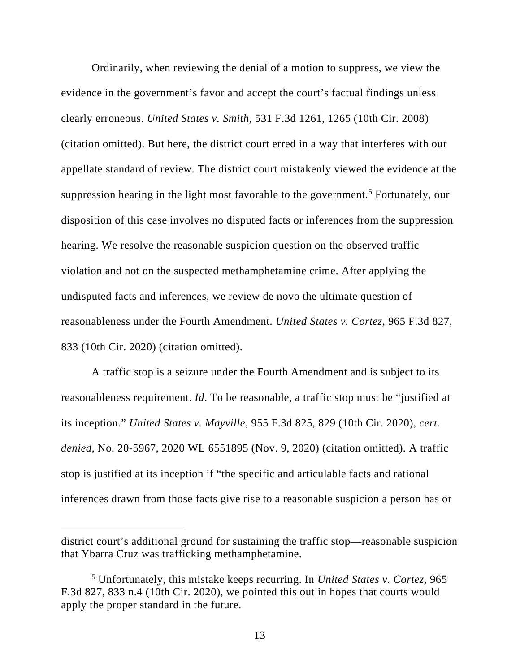Ordinarily, when reviewing the denial of a motion to suppress, we view the evidence in the government's favor and accept the court's factual findings unless clearly erroneous. *United States v. Smith*, 531 F.3d 1261, 1265 (10th Cir. 2008) (citation omitted). But here, the district court erred in a way that interferes with our appellate standard of review. The district court mistakenly viewed the evidence at the suppression hearing in the light most favorable to the government. [5](#page-12-0) Fortunately, our disposition of this case involves no disputed facts or inferences from the suppression hearing. We resolve the reasonable suspicion question on the observed traffic violation and not on the suspected methamphetamine crime. After applying the undisputed facts and inferences, we review de novo the ultimate question of reasonableness under the Fourth Amendment. *United States v. Cortez*, 965 F.3d 827, 833 (10th Cir. 2020) (citation omitted).

A traffic stop is a seizure under the Fourth Amendment and is subject to its reasonableness requirement. *Id*. To be reasonable, a traffic stop must be "justified at its inception." *United States v. Mayville*, 955 F.3d 825, 829 (10th Cir. 2020), *cert. denied*, No. 20-5967, 2020 WL 6551895 (Nov. 9, 2020) (citation omitted). A traffic stop is justified at its inception if "the specific and articulable facts and rational inferences drawn from those facts give rise to a reasonable suspicion a person has or

district court's additional ground for sustaining the traffic stop—reasonable suspicion that Ybarra Cruz was trafficking methamphetamine.

<span id="page-12-0"></span><sup>5</sup> Unfortunately, this mistake keeps recurring. In *United States v. Cortez*, 965 F.3d 827, 833 n.4 (10th Cir. 2020), we pointed this out in hopes that courts would apply the proper standard in the future.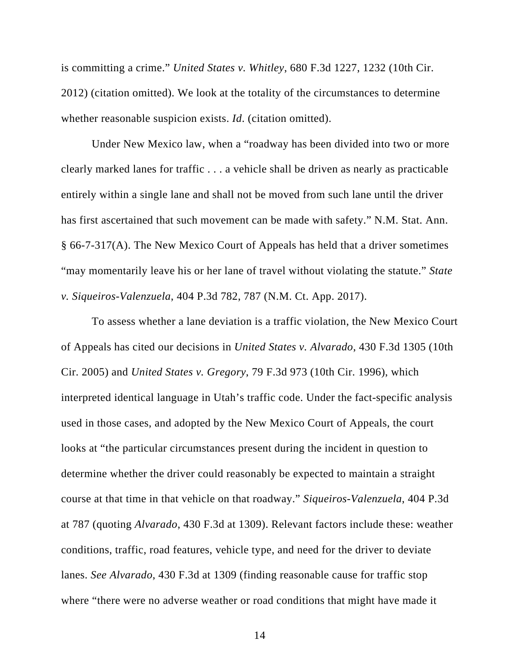is committing a crime." *United States v. Whitley*, 680 F.3d 1227, 1232 (10th Cir. 2012) (citation omitted). We look at the totality of the circumstances to determine whether reasonable suspicion exists. *Id*. (citation omitted).

Under New Mexico law, when a "roadway has been divided into two or more clearly marked lanes for traffic . . . a vehicle shall be driven as nearly as practicable entirely within a single lane and shall not be moved from such lane until the driver has first ascertained that such movement can be made with safety." N.M. Stat. Ann. § 66-7-317(A). The New Mexico Court of Appeals has held that a driver sometimes "may momentarily leave his or her lane of travel without violating the statute." *State v. Siqueiros-Valenzuela*, 404 P.3d 782, 787 (N.M. Ct. App. 2017).

To assess whether a lane deviation is a traffic violation, the New Mexico Court of Appeals has cited our decisions in *United States v. Alvarado*, 430 F.3d 1305 (10th Cir. 2005) and *United States v. Gregory*, 79 F.3d 973 (10th Cir. 1996), which interpreted identical language in Utah's traffic code. Under the fact-specific analysis used in those cases, and adopted by the New Mexico Court of Appeals, the court looks at "the particular circumstances present during the incident in question to determine whether the driver could reasonably be expected to maintain a straight course at that time in that vehicle on that roadway." *Siqueiros-Valenzuela*, 404 P.3d at 787 (quoting *Alvarado*, 430 F.3d at 1309). Relevant factors include these: weather conditions, traffic, road features, vehicle type, and need for the driver to deviate lanes. *See Alvarado*, 430 F.3d at 1309 (finding reasonable cause for traffic stop where "there were no adverse weather or road conditions that might have made it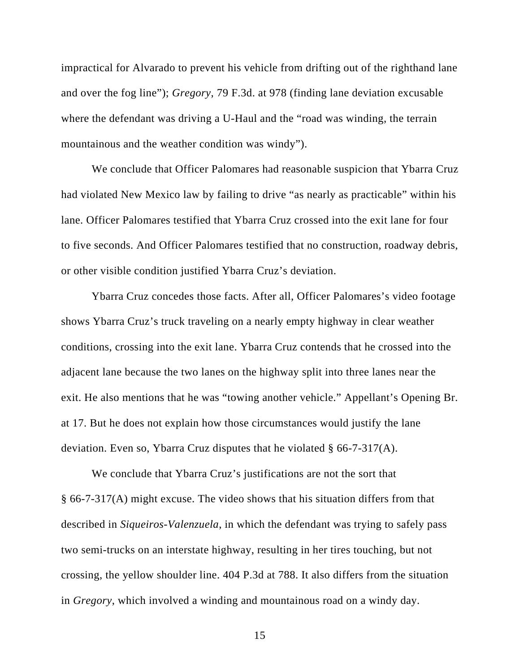impractical for Alvarado to prevent his vehicle from drifting out of the righthand lane and over the fog line"); *Gregory*, 79 F.3d. at 978 (finding lane deviation excusable where the defendant was driving a U-Haul and the "road was winding, the terrain mountainous and the weather condition was windy").

We conclude that Officer Palomares had reasonable suspicion that Ybarra Cruz had violated New Mexico law by failing to drive "as nearly as practicable" within his lane. Officer Palomares testified that Ybarra Cruz crossed into the exit lane for four to five seconds. And Officer Palomares testified that no construction, roadway debris, or other visible condition justified Ybarra Cruz's deviation.

Ybarra Cruz concedes those facts. After all, Officer Palomares's video footage shows Ybarra Cruz's truck traveling on a nearly empty highway in clear weather conditions, crossing into the exit lane. Ybarra Cruz contends that he crossed into the adjacent lane because the two lanes on the highway split into three lanes near the exit. He also mentions that he was "towing another vehicle." Appellant's Opening Br. at 17. But he does not explain how those circumstances would justify the lane deviation. Even so, Ybarra Cruz disputes that he violated § 66-7-317(A).

We conclude that Ybarra Cruz's justifications are not the sort that § 66-7-317(A) might excuse. The video shows that his situation differs from that described in *Siqueiros-Valenzuela*, in which the defendant was trying to safely pass two semi-trucks on an interstate highway, resulting in her tires touching, but not crossing, the yellow shoulder line. 404 P.3d at 788. It also differs from the situation in *Gregory*, which involved a winding and mountainous road on a windy day.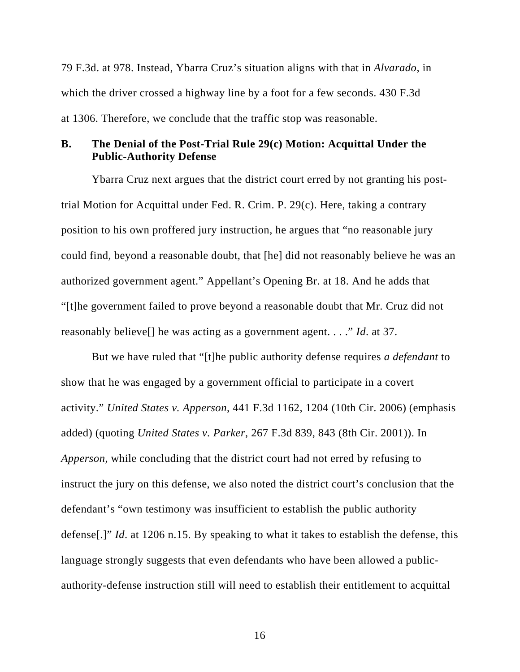79 F.3d. at 978. Instead, Ybarra Cruz's situation aligns with that in *Alvarado*, in which the driver crossed a highway line by a foot for a few seconds. 430 F.3d at 1306. Therefore, we conclude that the traffic stop was reasonable.

## **B. The Denial of the Post-Trial Rule 29(c) Motion: Acquittal Under the Public-Authority Defense**

Ybarra Cruz next argues that the district court erred by not granting his posttrial Motion for Acquittal under Fed. R. Crim. P. 29(c). Here, taking a contrary position to his own proffered jury instruction, he argues that "no reasonable jury could find, beyond a reasonable doubt, that [he] did not reasonably believe he was an authorized government agent." Appellant's Opening Br. at 18. And he adds that "[t]he government failed to prove beyond a reasonable doubt that Mr. Cruz did not reasonably believe[] he was acting as a government agent. . . ." *Id*. at 37.

But we have ruled that "[t]he public authority defense requires *a defendant* to show that he was engaged by a government official to participate in a covert activity." *United States v. Apperson*, 441 F.3d 1162, 1204 (10th Cir. 2006) (emphasis added) (quoting *United States v. Parker*, [267 F.3d 839, 843 \(8th Cir.](https://1.next.westlaw.com/Link/Document/FullText?findType=Y&serNum=2001850306&pubNum=0000506&originatingDoc=I887ed537be9c11daa514dfb5bc366636&refType=RP&fi=co_pp_sp_506_843&originationContext=document&transitionType=DocumentItem&contextData=(sc.UserEnteredCitation)#co_pp_sp_506_843) 2001)). In *Apperson*, while concluding that the district court had not erred by refusing to instruct the jury on this defense, we also noted the district court's conclusion that the defendant's "own testimony was insufficient to establish the public authority defense[.]" *Id*. at 1206 n.15. By speaking to what it takes to establish the defense, this language strongly suggests that even defendants who have been allowed a publicauthority-defense instruction still will need to establish their entitlement to acquittal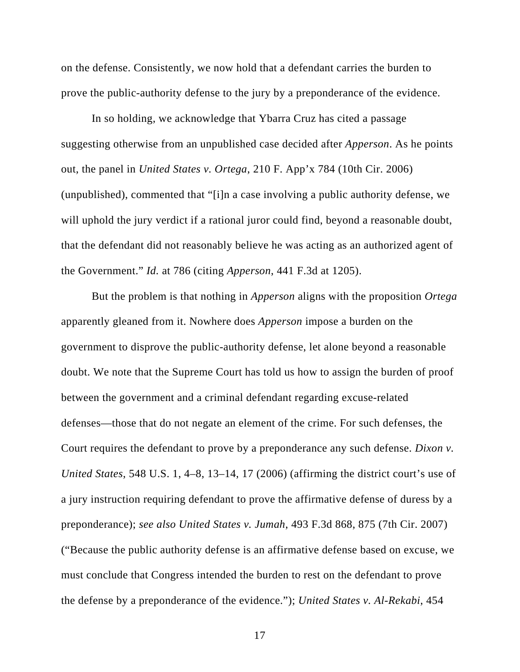on the defense. Consistently, we now hold that a defendant carries the burden to prove the public-authority defense to the jury by a preponderance of the evidence.

In so holding, we acknowledge that Ybarra Cruz has cited a passage suggesting otherwise from an unpublished case decided after *Apperson*. As he points out, the panel in *United States v. Ortega*, 210 F. App'x 784 (10th Cir. 2006) (unpublished), commented that "[i]n a case involving a public authority defense, we will uphold the jury verdict if a rational juror could find, beyond a reasonable doubt, that the defendant did not reasonably believe he was acting as an authorized agent of the Government." *Id.* at 786 (citing *Apperson*, 441 F.3d at 1205).

But the problem is that nothing in *Apperson* aligns with the proposition *Ortega* apparently gleaned from it. Nowhere does *Apperson* impose a burden on the government to disprove the public-authority defense, let alone beyond a reasonable doubt. We note that the Supreme Court has told us how to assign the burden of proof between the government and a criminal defendant regarding excuse-related defenses—those that do not negate an element of the crime. For such defenses, the Court requires the defendant to prove by a preponderance any such defense. *Dixon v. United States*, 548 U.S. 1, 4–8, 13–14, 17 (2006) (affirming the district court's use of a jury instruction requiring defendant to prove the affirmative defense of duress by a preponderance); *see also United States v. Jumah*, 493 F.3d 868, 875 (7th Cir. 2007) ("Because the public authority defense is an affirmative defense based on excuse, we must conclude that Congress intended the burden to rest on the defendant to prove the defense by a preponderance of the evidence."); *United States v. Al-Rekabi*, 454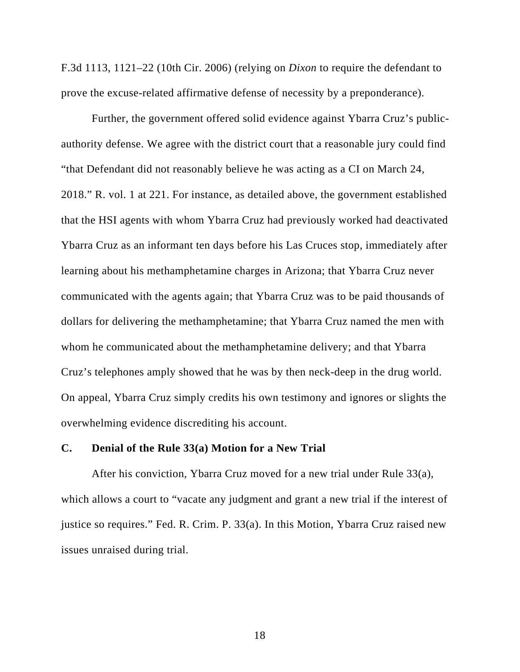F.3d 1113, 1121–22 (10th Cir. 2006) (relying on *Dixon* to require the defendant to prove the excuse-related affirmative defense of necessity by a preponderance).

Further, the government offered solid evidence against Ybarra Cruz's publicauthority defense. We agree with the district court that a reasonable jury could find "that Defendant did not reasonably believe he was acting as a CI on March 24, 2018." R. vol. 1 at 221. For instance, as detailed above, the government established that the HSI agents with whom Ybarra Cruz had previously worked had deactivated Ybarra Cruz as an informant ten days before his Las Cruces stop, immediately after learning about his methamphetamine charges in Arizona; that Ybarra Cruz never communicated with the agents again; that Ybarra Cruz was to be paid thousands of dollars for delivering the methamphetamine; that Ybarra Cruz named the men with whom he communicated about the methamphetamine delivery; and that Ybarra Cruz's telephones amply showed that he was by then neck-deep in the drug world. On appeal, Ybarra Cruz simply credits his own testimony and ignores or slights the overwhelming evidence discrediting his account.

### **C. Denial of the Rule 33(a) Motion for a New Trial**

After his conviction, Ybarra Cruz moved for a new trial under Rule 33(a), which allows a court to "vacate any judgment and grant a new trial if the interest of justice so requires." Fed. R. Crim. P. 33(a). In this Motion, Ybarra Cruz raised new issues unraised during trial.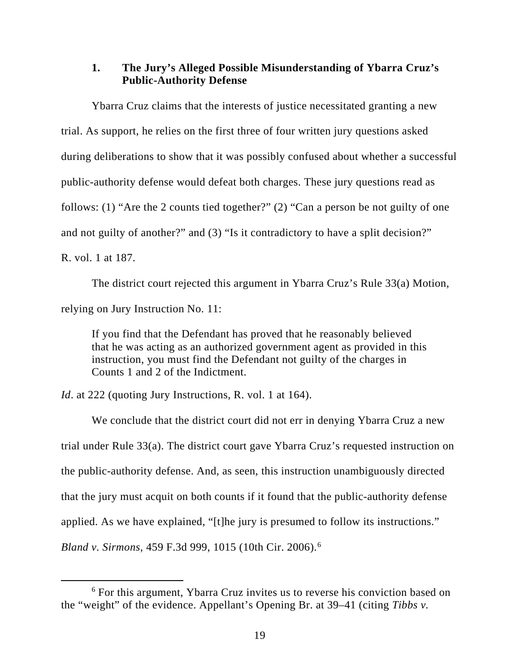# **1. The Jury's Alleged Possible Misunderstanding of Ybarra Cruz's Public-Authority Defense**

Ybarra Cruz claims that the interests of justice necessitated granting a new trial. As support, he relies on the first three of four written jury questions asked during deliberations to show that it was possibly confused about whether a successful public-authority defense would defeat both charges. These jury questions read as follows: (1) "Are the 2 counts tied together?" (2) "Can a person be not guilty of one and not guilty of another?" and (3) "Is it contradictory to have a split decision?" R. vol. 1 at 187.

The district court rejected this argument in Ybarra Cruz's Rule 33(a) Motion, relying on Jury Instruction No. 11:

If you find that the Defendant has proved that he reasonably believed that he was acting as an authorized government agent as provided in this instruction, you must find the Defendant not guilty of the charges in Counts 1 and 2 of the Indictment.

*Id.* at 222 (quoting Jury Instructions, R. vol. 1 at 164).

We conclude that the district court did not err in denying Ybarra Cruz a new trial under Rule 33(a). The district court gave Ybarra Cruz's requested instruction on the public-authority defense. And, as seen, this instruction unambiguously directed that the jury must acquit on both counts if it found that the public-authority defense applied. As we have explained, "[t]he jury is presumed to follow its instructions." *Bland v. Sirmons*, 459 F.3d 999, 1015 (10th Cir. 2006).[6](#page-18-0)

<span id="page-18-0"></span><sup>6</sup> For this argument, Ybarra Cruz invites us to reverse his conviction based on the "weight" of the evidence. Appellant's Opening Br. at 39–41 (citing *Tibbs v.*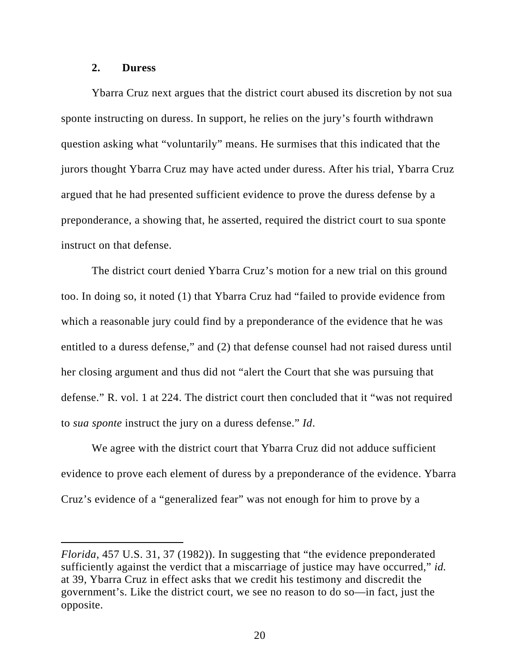### **2. Duress**

Ybarra Cruz next argues that the district court abused its discretion by not sua sponte instructing on duress. In support, he relies on the jury's fourth withdrawn question asking what "voluntarily" means. He surmises that this indicated that the jurors thought Ybarra Cruz may have acted under duress. After his trial, Ybarra Cruz argued that he had presented sufficient evidence to prove the duress defense by a preponderance, a showing that, he asserted, required the district court to sua sponte instruct on that defense.

The district court denied Ybarra Cruz's motion for a new trial on this ground too. In doing so, it noted (1) that Ybarra Cruz had "failed to provide evidence from which a reasonable jury could find by a preponderance of the evidence that he was entitled to a duress defense," and (2) that defense counsel had not raised duress until her closing argument and thus did not "alert the Court that she was pursuing that defense." R. vol. 1 at 224. The district court then concluded that it "was not required to *sua sponte* instruct the jury on a duress defense." *Id*.

We agree with the district court that Ybarra Cruz did not adduce sufficient evidence to prove each element of duress by a preponderance of the evidence. Ybarra Cruz's evidence of a "generalized fear" was not enough for him to prove by a

*Florida*, 457 U.S. 31, 37 (1982)). In suggesting that "the evidence preponderated sufficiently against the verdict that a miscarriage of justice may have occurred," *id.* at 39, Ybarra Cruz in effect asks that we credit his testimony and discredit the government's. Like the district court, we see no reason to do so—in fact, just the opposite.